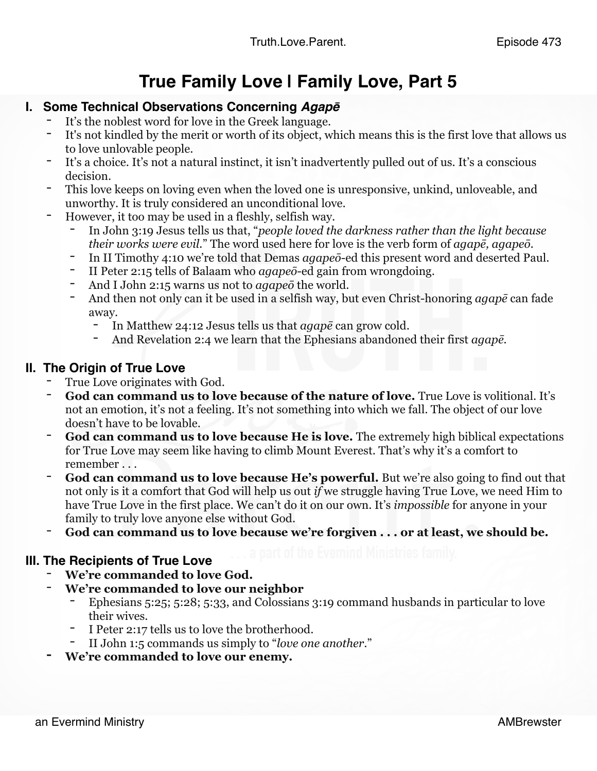#### **True Family Love | Family Love, Part 5**

## **I. Some Technical Observations Concerning** *Agap***<sup>ē</sup>** - It's the noblest word for love in the Greek language.

- 
- It's not kindled by the merit or worth of its object, which means this is the first love that allows us to love unlovable people.
- It's a choice. It's not a natural instinct, it isn't inadvertently pulled out of us. It's a conscious decision.
- This love keeps on loving even when the loved one is unresponsive, unkind, unloveable, and unworthy. It is truly considered an unconditional love.
- However, it too may be used in a fleshly, selfish way.
	- In John 3:19 Jesus tells us that, "*people loved the darkness rather than the light because their works were evil.*" The word used here for love is the verb form of *agapē, agapeō.*
	- In II Timothy 4:10 we're told that Demas *agapeō*-ed this present word and deserted Paul.
	- II Peter 2:15 tells of Balaam who *agapeō*-ed gain from wrongdoing.
	- And I John 2:15 warns us not to *agape*<sup> $\bar{o}$ </sup> the world.
	- And then not only can it be used in a selfish way, but even Christ-honoring *agapē* can fade away.
		- In Matthew 24:12 Jesus tells us that *agapē* can grow cold.
		- And Revelation 2:4 we learn that the Ephesians abandoned their first *agapē.*

### **II. The Origin of True Love**<br>True Love originates with God.

- 
- **God can command us to love because of the nature of love.** True Love is volitional. It's not an emotion, it's not a feeling. It's not something into which we fall. The object of our love doesn't have to be lovable.
- God can command us to love because He is love. The extremely high biblical expectations for True Love may seem like having to climb Mount Everest. That's why it's a comfort to remember . . .
- **God can command us to love because He's powerful.** But we're also going to find out that not only is it a comfort that God will help us out *if* we struggle having True Love, we need Him to have True Love in the first place. We can't do it on our own. It's *impossible* for anyone in your family to truly love anyone else without God.
- God can command us to love because we're forgiven . . . or at least, we should be.

# **III. The Recipients of True Love Acceleration** Everning Ministries family.<br>The **We're commanded to love God.**

- 
- **We're commanded to love our neighbor** 
	- Ephesians 5:25; 5:28; 5:33, and Colossians 3:19 command husbands in particular to love their wives.
	- I Peter 2:17 tells us to love the brotherhood.
	- II John 1:5 commands us simply to "*love one another*."
- **- We're commanded to love our enemy.**